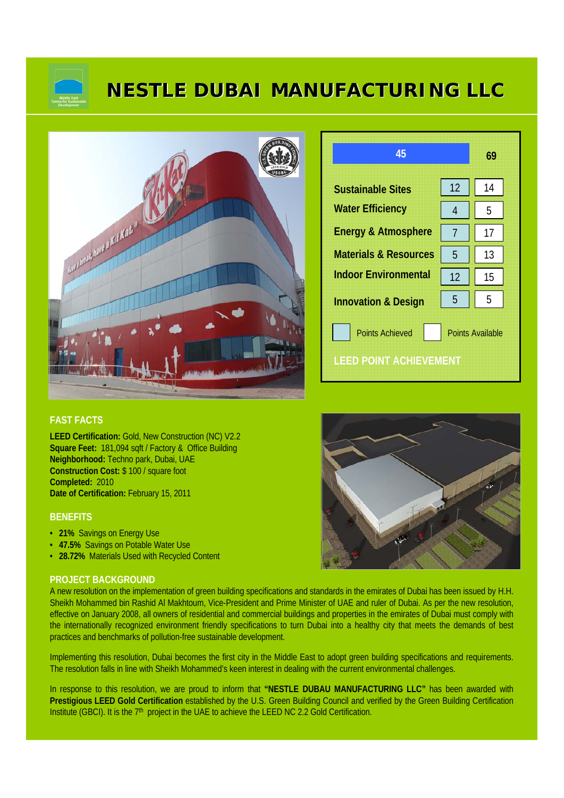

# **NESTLE DUBAI MANUFACTURING LLC**



| 45                               |                         | 69 |  |
|----------------------------------|-------------------------|----|--|
| <b>Sustainable Sites</b>         | 12                      | 14 |  |
| <b>Water Efficiency</b>          | 4                       | 5  |  |
| <b>Energy &amp; Atmosphere</b>   | 7                       | 17 |  |
| <b>Materials &amp; Resources</b> | 5                       | 13 |  |
| <b>Indoor Environmental</b>      | 12                      | 15 |  |
| <b>Innovation &amp; Design</b>   | 5                       | 5  |  |
| <b>Points Achieved</b>           | <b>Points Available</b> |    |  |
| LEED POINT ACHIEVEMENT           |                         |    |  |

### **FAST FACTS**

**LEED Certification:** Gold, New Construction (NC) V2.2 **Square Feet:** 181,094 sqft / Factory & Office Building **Neighborhood:** Techno park, Dubai, UAE **Construction Cost:** \$ 100 / square foot **Completed:** 2010 **Date of Certification:** February 15, 2011

#### **BENEFITS**

- **21%** Savings on Energy Use
- **47.5%** Savings on Potable Water Use
- **28.72%** Materials Used with Recycled Content

#### **PROJECT BACKGROUND**

A new resolution on the implementation of green building specifications and standards in the emirates of Dubai has been issued by H.H. Sheikh Mohammed bin Rashid Al Makhtoum, Vice-President and Prime Minister of UAE and ruler of Dubai. As per the new resolution, effective on January 2008, all owners of residential and commercial buildings and properties in the emirates of Dubai must comply with the internationally recognized environment friendly specifications to turn Dubai into a healthy city that meets the demands of best practices and benchmarks of pollution-free sustainable development.

Implementing this resolution, Dubai becomes the first city in the Middle East to adopt green building specifications and requirements. The resolution falls in line with Sheikh Mohammed's keen interest in dealing with the current environmental challenges.

In response to this resolution, we are proud to inform that **"NESTLE DUBAU MANUFACTURING LLC"** has been awarded with **Prestigious LEED Gold Certification** established by the U.S. Green Building Council and verified by the Green Building Certification Institute (GBCI). It is the 7<sup>th</sup> project in the UAE to achieve the LEED NC 2.2 Gold Certification.